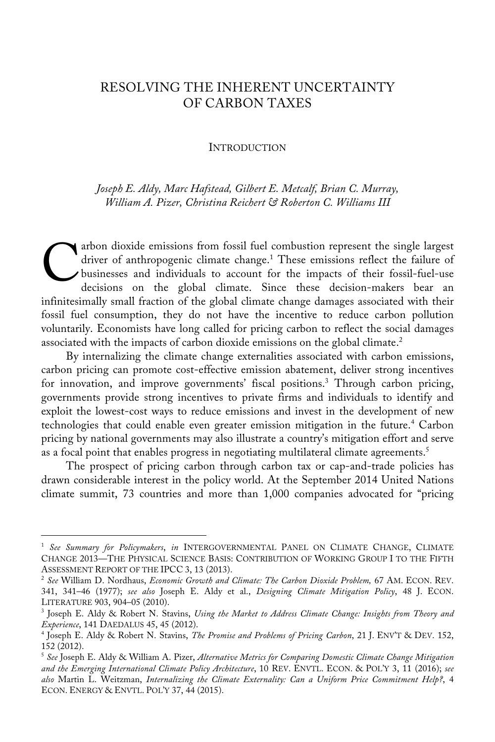# RESOLVING THE INHERENT UNCERTAINTY OF CARBON TAXES

#### **INTRODUCTION**

*Joseph E. Aldy, Marc Hafstead, Gilbert E. Metcalf, Brian C. Murray, William A. Pizer, Christina Reichert & Roberton C. Williams III*

arbon dioxide emissions from fossil fuel combustion represent the single largest driver of anthropogenic climate change.<sup>1</sup> These emissions reflect the failure of businesses and individuals to account for the impacts of their fossil-fuel-use decisions on the global climate. Since these decision-makers bear an driver of anthropogenic climate change.<sup>1</sup> These emissions reflect the failure of businesses and individuals to account for the impacts of their fossil-fuel-use decisions on the global climate. Since these decision-makers fossil fuel consumption, they do not have the incentive to reduce carbon pollution voluntarily. Economists have long called for pricing carbon to reflect the social damages associated with the impacts of carbon dioxide emissions on the global climate. 2

By internalizing the climate change externalities associated with carbon emissions, carbon pricing can promote cost-effective emission abatement, deliver strong incentives for innovation, and improve governments' fiscal positions.<sup>3</sup> Through carbon pricing, governments provide strong incentives to private firms and individuals to identify and exploit the lowest-cost ways to reduce emissions and invest in the development of new technologies that could enable even greater emission mitigation in the future.<sup>4</sup> Carbon pricing by national governments may also illustrate a country's mitigation effort and serve as a focal point that enables progress in negotiating multilateral climate agreements.<sup>5</sup>

The prospect of pricing carbon through carbon tax or cap-and-trade policies has drawn considerable interest in the policy world. At the September 2014 United Nations climate summit, 73 countries and more than 1,000 companies advocated for "pricing

<sup>1</sup> *See Summary for Policymakers*, *in* INTERGOVERNMENTAL PANEL ON CLIMATE CHANGE, CLIMATE CHANGE 2013—THE PHYSICAL SCIENCE BASIS: CONTRIBUTION OF WORKING GROUP I TO THE FIFTH ASSESSMENT REPORT OF THE IPCC 3, 13 (2013).

<sup>2</sup> *See* William D. Nordhaus, *Economic Growth and Climate: The Carbon Dioxide Problem,* 67 AM. ECON. REV. 341, 341–46 (1977); *see also* Joseph E. Aldy et al., *Designing Climate Mitigation Policy*, 48 J. ECON.

<sup>&</sup>lt;sup>3</sup> Joseph E. Aldy & Robert N. Stavins, *Using the Market to Address Climate Change: Insights from Theory and Experience*, 141 DAEDALUS 45, 45 (2012).

<sup>4</sup> Joseph E. Aldy & Robert N. Stavins, *The Promise and Problems of Pricing Carbon*, 21 J. ENV'T & DEV. 152, 152 (2012).

<sup>5</sup> *See* Joseph E. Aldy & William A. Pizer, *Alternative Metrics for Comparing Domestic Climate Change Mitigation and the Emerging International Climate Policy Architecture*, 10 REV. ENVTL. ECON. & POL'Y 3, 11 (2016); *see also* Martin L. Weitzman, *Internalizing the Climate Externality: Can a Uniform Price Commitment Help?*, 4 ECON. ENERGY & ENVTL. POL'Y 37, 44 (2015).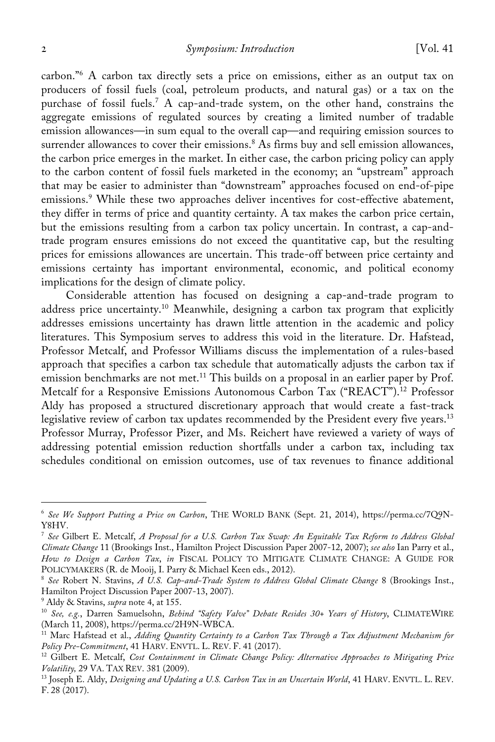carbon."<sup>6</sup> A carbon tax directly sets a price on emissions, either as an output tax on producers of fossil fuels (coal, petroleum products, and natural gas) or a tax on the purchase of fossil fuels. <sup>7</sup> A cap-and-trade system, on the other hand, constrains the aggregate emissions of regulated sources by creating a limited number of tradable emission allowances—in sum equal to the overall cap—and requiring emission sources to surrender allowances to cover their emissions.<sup>8</sup> As firms buy and sell emission allowances, the carbon price emerges in the market. In either case, the carbon pricing policy can apply to the carbon content of fossil fuels marketed in the economy; an "upstream" approach that may be easier to administer than "downstream" approaches focused on end-of-pipe emissions.<sup>9</sup> While these two approaches deliver incentives for cost-effective abatement, they differ in terms of price and quantity certainty. A tax makes the carbon price certain, but the emissions resulting from a carbon tax policy uncertain. In contrast, a cap-andtrade program ensures emissions do not exceed the quantitative cap, but the resulting prices for emissions allowances are uncertain. This trade-off between price certainty and emissions certainty has important environmental, economic, and political economy implications for the design of climate policy.

Considerable attention has focused on designing a cap-and-trade program to address price uncertainty.<sup>10</sup> Meanwhile, designing a carbon tax program that explicitly addresses emissions uncertainty has drawn little attention in the academic and policy literatures. This Symposium serves to address this void in the literature. Dr. Hafstead, Professor Metcalf, and Professor Williams discuss the implementation of a rules-based approach that specifies a carbon tax schedule that automatically adjusts the carbon tax if emission benchmarks are not met. <sup>11</sup> This builds on a proposal in an earlier paper by Prof. Metcalf for a Responsive Emissions Autonomous Carbon Tax ("REACT"). <sup>12</sup> Professor Aldy has proposed a structured discretionary approach that would create a fast-track legislative review of carbon tax updates recommended by the President every five years.<sup>13</sup> Professor Murray, Professor Pizer, and Ms. Reichert have reviewed a variety of ways of addressing potential emission reduction shortfalls under a carbon tax, including tax schedules conditional on emission outcomes, use of tax revenues to finance additional

<sup>6</sup> *See We Support Putting a Price on Carbon*, THE WORLD BANK (Sept. 21, 2014), https://perma.cc/7Q9N-Y8HV.

<sup>7</sup> *See* Gilbert E. Metcalf, *A Proposal for a U.S. Carbon Tax Swap: An Equitable Tax Reform to Address Global Climate Change* 11 (Brookings Inst., Hamilton Project Discussion Paper 2007-12, 2007); *see also* Ian Parry et al., *How to Design a Carbon Tax*, *in* FISCAL POLICY TO MITIGATE CLIMATE CHANGE: A GUIDE FOR POLICYMAKERS (R. de Mooij, I. Parry & Michael Keen eds., 2012).

<sup>8</sup> *See* Robert N. Stavins, *A U.S. Cap-and-Trade System to Address Global Climate Change* 8 (Brookings Inst., Hamilton Project Discussion Paper 2007-13, 2007).

<sup>9</sup> Aldy & Stavins, *supra* note 4, at 155.

<sup>10</sup> *See, e.g.*, Darren Samuelsohn, *Behind "Safety Valve" Debate Resides 30+ Years of History*, CLIMATEWIRE

<sup>&</sup>lt;sup>11</sup> Marc Hafstead et al., *Adding Quantity Certainty to a Carbon Tax Through a Tax Adjustment Mechanism for Policy Pre-Commitment*, 41 HARV. ENVTL. L. REV. F. 41 (2017).

<sup>&</sup>lt;sup>12</sup> Gilbert E. Metcalf, *Cost Containment in Climate Change Policy: Alternative Approaches to Mitigating Price Volatility, 29 VA. TAX REV. 381 (2009).* 

<sup>&</sup>lt;sup>13</sup> Joseph E. Aldy, *Designing and Updating a U.S. Carbon Tax in an Uncertain World*, 41 HARV. ENVTL. L. REV. F. 28 (2017).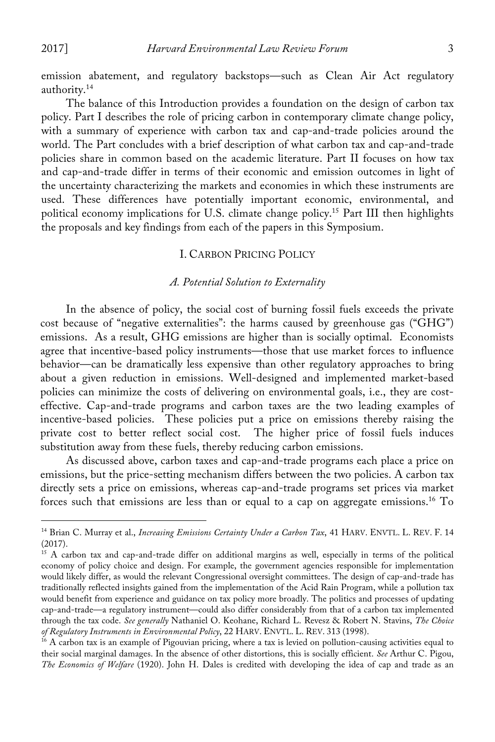emission abatement, and regulatory backstops—such as Clean Air Act regulatory authority. 14

The balance of this Introduction provides a foundation on the design of carbon tax policy. Part I describes the role of pricing carbon in contemporary climate change policy, with a summary of experience with carbon tax and cap-and-trade policies around the world. The Part concludes with a brief description of what carbon tax and cap-and-trade policies share in common based on the academic literature. Part II focuses on how tax and cap-and-trade differ in terms of their economic and emission outcomes in light of the uncertainty characterizing the markets and economies in which these instruments are used. These differences have potentially important economic, environmental, and political economy implications for U.S. climate change policy.15 Part III then highlights the proposals and key findings from each of the papers in this Symposium.

## I. CARBON PRICING POLICY

#### *A. Potential Solution to Externality*

In the absence of policy, the social cost of burning fossil fuels exceeds the private cost because of "negative externalities": the harms caused by greenhouse gas ("GHG") emissions. As a result, GHG emissions are higher than is socially optimal. Economists agree that incentive-based policy instruments—those that use market forces to influence behavior—can be dramatically less expensive than other regulatory approaches to bring about a given reduction in emissions. Well-designed and implemented market-based policies can minimize the costs of delivering on environmental goals, i.e., they are costeffective. Cap-and-trade programs and carbon taxes are the two leading examples of incentive-based policies. These policies put a price on emissions thereby raising the private cost to better reflect social cost. The higher price of fossil fuels induces substitution away from these fuels, thereby reducing carbon emissions.

As discussed above, carbon taxes and cap-and-trade programs each place a price on emissions, but the price-setting mechanism differs between the two policies. A carbon tax directly sets a price on emissions, whereas cap-and-trade programs set prices via market forces such that emissions are less than or equal to a cap on aggregate emissions.<sup>16</sup> To

<sup>14</sup> Brian C. Murray et al., *Increasing Emissions Certainty Under a Carbon Tax*, 41 HARV. ENVTL. L. REV. F. 14 (2017).

<sup>&</sup>lt;sup>15</sup> A carbon tax and cap-and-trade differ on additional margins as well, especially in terms of the political economy of policy choice and design. For example, the government agencies responsible for implementation would likely differ, as would the relevant Congressional oversight committees. The design of cap-and-trade has traditionally reflected insights gained from the implementation of the Acid Rain Program, while a pollution tax would benefit from experience and guidance on tax policy more broadly. The politics and processes of updating cap-and-trade—a regulatory instrument—could also differ considerably from that of a carbon tax implemented through the tax code. *See generally* Nathaniel O. Keohane, Richard L. Revesz & Robert N. Stavins, *The Choice of Regulatory Instruments in Environmental Policy*, 22 HARV. ENVTL. L. REV. 313 (1998).

<sup>&</sup>lt;sup>16</sup> A carbon tax is an example of Pigouvian pricing, where a tax is levied on pollution-causing activities equal to their social marginal damages. In the absence of other distortions, this is socially efficient. *See* Arthur C. Pigou, *The Economics of Welfare* (1920). John H. Dales is credited with developing the idea of cap and trade as an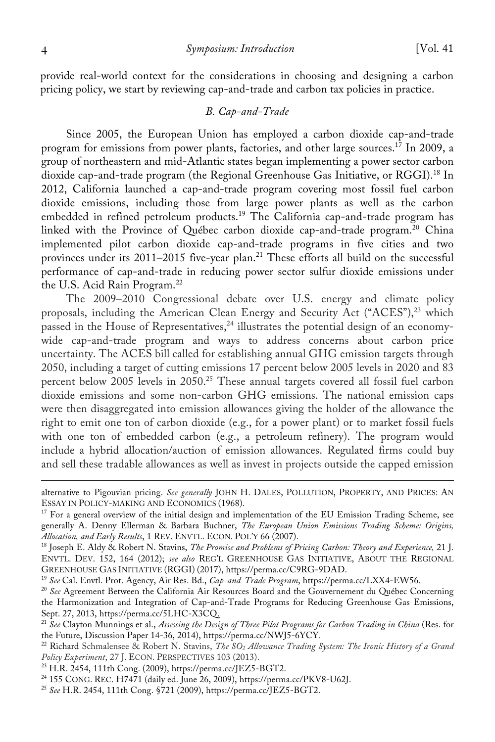provide real-world context for the considerations in choosing and designing a carbon pricing policy, we start by reviewing cap-and-trade and carbon tax policies in practice.

## *B. Cap-and-Trade*

Since 2005, the European Union has employed a carbon dioxide cap-and-trade program for emissions from power plants, factories, and other large sources.<sup>17</sup> In 2009, a group of northeastern and mid-Atlantic states began implementing a power sector carbon dioxide cap-and-trade program (the Regional Greenhouse Gas Initiative, or RGGI). <sup>18</sup> In 2012, California launched a cap-and-trade program covering most fossil fuel carbon dioxide emissions, including those from large power plants as well as the carbon embedded in refined petroleum products.<sup>19</sup> The California cap-and-trade program has linked with the Province of Québec carbon dioxide cap-and-trade program.<sup>20</sup> China implemented pilot carbon dioxide cap-and-trade programs in five cities and two provinces under its 2011–2015 five-year plan.<sup>21</sup> These efforts all build on the successful performance of cap-and-trade in reducing power sector sulfur dioxide emissions under the U.S. Acid Rain Program.<sup>22</sup>

The 2009–2010 Congressional debate over U.S. energy and climate policy proposals, including the American Clean Energy and Security Act ("ACES"), <sup>23</sup> which passed in the House of Representatives, <sup>24</sup> illustrates the potential design of an economywide cap-and-trade program and ways to address concerns about carbon price uncertainty. The ACES bill called for establishing annual GHG emission targets through 2050, including a target of cutting emissions 17 percent below 2005 levels in 2020 and 83 percent below 2005 levels in 2050. <sup>25</sup> These annual targets covered all fossil fuel carbon dioxide emissions and some non-carbon GHG emissions. The national emission caps were then disaggregated into emission allowances giving the holder of the allowance the right to emit one ton of carbon dioxide (e.g., for a power plant) or to market fossil fuels with one ton of embedded carbon (e.g., a petroleum refinery). The program would include a hybrid allocation/auction of emission allowances. Regulated firms could buy and sell these tradable allowances as well as invest in projects outside the capped emission

<sup>19</sup> *See* Cal. Envtl. Prot. Agency, Air Res. Bd., *Cap-and-Trade Program*, https://perma.cc/LXX4-EW56.

<sup>20</sup> *See* Agreement Between the California Air Resources Board and the Gouvernement du Québec Concerning the Harmonization and Integration of Cap-and-Trade Programs for Reducing Greenhouse Gas Emissions, Sept. 27, 2013, https://perma.cc/5LHC-X3CQ.

- <sup>22</sup> Richard Schmalensee & Robert N. Stavins, *The SO2 Allowance Trading System: The Ironic History of a Grand Policy Experiment*, 27 J. ECON. PERSPECTIVES 103 (2013).
- <sup>23</sup> H.R. 2454, 111th Cong. (2009), https://perma.cc/JEZ5-BGT2.

<sup>&</sup>lt;u> 1989 - Johann Stein, marwolaethau a bhann an t-Amhain an t-Amhain an t-Amhain an t-Amhain an t-Amhain an t-A</u> alternative to Pigouvian pricing. *See generally* JOHN H. DALES, POLLUTION, PROPERTY, AND PRICES: AN

<sup>&</sup>lt;sup>17</sup> For a general overview of the initial design and implementation of the EU Emission Trading Scheme, see generally A. Denny Ellerman & Barbara Buchner, *The European Union Emissions Trading Scheme: Origins, Allocation, and Early Results*, 1 REV. ENVTL. ECON. POL'Y 66 (2007).

<sup>18</sup> Joseph E. Aldy & Robert N. Stavins, *The Promise and Problems of Pricing Carbon: Theory and Experience,* 21 J. ENVTL. DEV. 152, 164 (2012); *see also* REG'L GREENHOUSE GAS INITIATIVE, ABOUT THE REGIONAL GREENHOUSE GAS INITIATIVE (RGGI) (2017), https://perma.cc/C9RG-9DAD.

<sup>21</sup> *See* Clayton Munnings et al., *Assessing the Design of Three Pilot Programs for Carbon Trading in China* (Res. for the Future, Discussion Paper 14-36, 2014), https://perma.cc/NWJ5-6YCY.

<sup>24</sup> 155 CONG. REC. H7471 (daily ed. June 26, 2009), https://perma.cc/PKV8-U62J.

<sup>25</sup> *See* H.R. 2454, 111th Cong. §721 (2009), https://perma.cc/JEZ5-BGT2.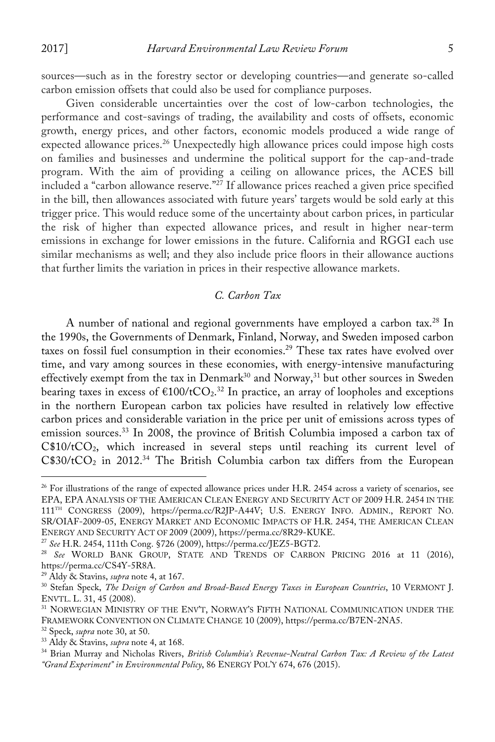sources—such as in the forestry sector or developing countries—and generate so-called carbon emission offsets that could also be used for compliance purposes.

Given considerable uncertainties over the cost of low-carbon technologies, the performance and cost-savings of trading, the availability and costs of offsets, economic growth, energy prices, and other factors, economic models produced a wide range of expected allowance prices.<sup>26</sup> Unexpectedly high allowance prices could impose high costs on families and businesses and undermine the political support for the cap-and-trade program. With the aim of providing a ceiling on allowance prices, the ACES bill included a "carbon allowance reserve."<sup>27</sup> If allowance prices reached a given price specified in the bill, then allowances associated with future years' targets would be sold early at this trigger price. This would reduce some of the uncertainty about carbon prices, in particular the risk of higher than expected allowance prices, and result in higher near-term emissions in exchange for lower emissions in the future. California and RGGI each use similar mechanisms as well; and they also include price floors in their allowance auctions that further limits the variation in prices in their respective allowance markets.

## *C. Carbon Tax*

A number of national and regional governments have employed a carbon tax.<sup>28</sup> In the 1990s, the Governments of Denmark, Finland, Norway, and Sweden imposed carbon taxes on fossil fuel consumption in their economies.<sup>29</sup> These tax rates have evolved over time, and vary among sources in these economies, with energy-intensive manufacturing effectively exempt from the tax in  $Denmark^{30}$  and  $Norway, ^{31}$  but other sources in Sweden bearing taxes in excess of  $\text{\textsterling}100/\text{tCO}_2$ .<sup>32</sup> In practice, an array of loopholes and exceptions in the northern European carbon tax policies have resulted in relatively low effective carbon prices and considerable variation in the price per unit of emissions across types of emission sources.<sup>33</sup> In 2008, the province of British Columbia imposed a carbon tax of  $C$10/tCO<sub>2</sub>$ , which increased in several steps until reaching its current level of  $C$30/tCO<sub>2</sub>$  in 2012.<sup>34</sup> The British Columbia carbon tax differs from the European

 $^{26}$  For illustrations of the range of expected allowance prices under H.R. 2454 across a variety of scenarios, see EPA, EPA ANALYSIS OF THE AMERICAN CLEAN ENERGY AND SECURITY ACT OF 2009 H.R. 2454 IN THE 111<sup>TH</sup> CONGRESS (2009), https://perma.cc/R2JP-A44V; U.S. ENERGY INFO. ADMIN., REPORT NO. SR/OIAF-2009-05, ENERGY MARKET AND ECONOMIC IMPACTS OF H.R. 2454, THE AMERICAN CLEAN ENERGY AND SECURITY ACT OF 2009 (2009), https://perma.cc/8R29-KUKE.

<sup>27</sup> *See* H.R. 2454, 111th Cong. §726 (2009), https://perma.cc/JEZ5-BGT2.

<sup>&</sup>lt;sup>28</sup> *See* WORLD BANK GROUP, STATE AND TRENDS OF CARBON PRICING 2016 at 11 (2016), https://perma.cc/CS4Y-5R8A.

<sup>&</sup>lt;sup>29</sup> Aldy & Stavins, *supra* note 4, at 167.

<sup>30</sup> Stefan Speck, *The Design of Carbon and Broad-Based Energy Taxes in European Countries*, 10 VERMONT J.

<sup>&</sup>lt;sup>31</sup> NORWEGIAN MINISTRY OF THE ENV'T, NORWAY'S FIFTH NATIONAL COMMUNICATION UNDER THE FRAMEWORK CONVENTION ON CLIMATE CHANGE 10 (2009), https://perma.cc/B7EN-2NA5. 32 Speck, *supra* note 30, at 50.

<sup>33</sup> Aldy & Stavins, *supra* note 4, at 168.

<sup>34</sup> Brian Murray and Nicholas Rivers, *British Columbia's Revenue-Neutral Carbon Tax: A Review of the Latest "Grand Experiment" in Environmental Policy*, 86 ENERGY POL'Y 674, 676 (2015).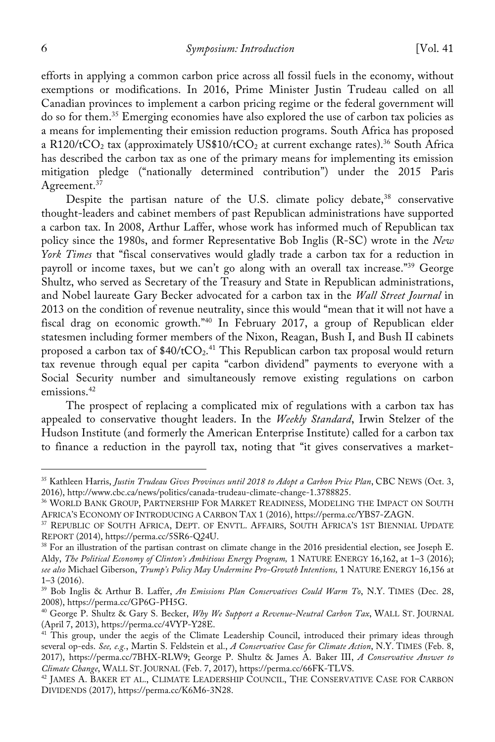efforts in applying a common carbon price across all fossil fuels in the economy, without exemptions or modifications. In 2016, Prime Minister Justin Trudeau called on all Canadian provinces to implement a carbon pricing regime or the federal government will do so for them.35 Emerging economies have also explored the use of carbon tax policies as a means for implementing their emission reduction programs. South Africa has proposed a R120/tCO<sub>2</sub> tax (approximately US\$10/tCO<sub>2</sub> at current exchange rates).<sup>36</sup> South Africa has described the carbon tax as one of the primary means for implementing its emission mitigation pledge ("nationally determined contribution") under the 2015 Paris Agreement.<sup>37</sup>

Despite the partisan nature of the U.S. climate policy debate, $38$  conservative thought-leaders and cabinet members of past Republican administrations have supported a carbon tax. In 2008, Arthur Laffer, whose work has informed much of Republican tax policy since the 1980s, and former Representative Bob Inglis (R-SC) wrote in the *New York Times* that "fiscal conservatives would gladly trade a carbon tax for a reduction in payroll or income taxes, but we can't go along with an overall tax increase."39 George Shultz, who served as Secretary of the Treasury and State in Republican administrations, and Nobel laureate Gary Becker advocated for a carbon tax in the *Wall Street Journal* in 2013 on the condition of revenue neutrality, since this would "mean that it will not have a fiscal drag on economic growth."40 In February 2017, a group of Republican elder statesmen including former members of the Nixon, Reagan, Bush I, and Bush II cabinets proposed a carbon tax of  $$40/tCO<sub>2</sub>$ .<sup>41</sup> This Republican carbon tax proposal would return tax revenue through equal per capita "carbon dividend" payments to everyone with a Social Security number and simultaneously remove existing regulations on carbon emissions.<sup>42</sup>

The prospect of replacing a complicated mix of regulations with a carbon tax has appealed to conservative thought leaders. In the *Weekly Standard*, Irwin Stelzer of the Hudson Institute (and formerly the American Enterprise Institute) called for a carbon tax to finance a reduction in the payroll tax, noting that "it gives conservatives a market-

<sup>35</sup> Kathleen Harris, *Justin Trudeau Gives Provinces until 2018 to Adopt a Carbon Price Plan*, CBC NEWS (Oct. 3, 2016), http://www.cbc.ca/news/politics/canada-trudeau-climate-change-1.3788825.

<sup>36</sup> WORLD BANK GROUP, PARTNERSHIP FOR MARKET READINESS, MODELING THE IMPACT ON SOUTH AFRICA'S ECONOMY OF INTRODUCING A CARBON TAX 1 (2016), https://perma.cc/YBS7-ZAGN.

<sup>37</sup> REPUBLIC OF SOUTH AFRICA, DEPT. OF ENVTL. AFFAIRS, SOUTH AFRICA'S 1ST BIENNIAL UPDATE REPORT (2014), https://perma.cc/5SR6-Q24U.

 $38$  For an illustration of the partisan contrast on climate change in the 2016 presidential election, see Joseph E. Aldy, *The Political Economy of Clinton's Ambitious Energy Program,* 1 NATURE ENERGY 16,162, at 1–3 (2016); *see also* Michael Giberson, *Trump's Policy May Undermine Pro-Growth Intentions,* 1 NATURE ENERGY 16,156 at

<sup>&</sup>lt;sup>39</sup> Bob Inglis & Arthur B. Laffer, *An Emissions Plan Conservatives Could Warm To*, N.Y. TIMES (Dec. 28, 2008), https://perma.cc/GP6G-PH5G.

<sup>&</sup>lt;sup>40</sup> George P. Shultz & Gary S. Becker, *Why We Support a Revenue-Neutral Carbon Tax*, WALL ST. JOURNAL (April 7, 2013), https://perma.cc/4VYP-Y28E.

<sup>&</sup>lt;sup>41</sup> This group, under the aegis of the Climate Leadership Council, introduced their primary ideas through several op-eds. *See, e.g.*, Martin S. Feldstein et al., *A Conservative Case for Climate Action*, N.Y. TIMES (Feb. 8, 2017), https://perma.cc/7BHX-RLW9; George P. Shultz & James A. Baker III, *A Conservative Answer to Climate Change*, WALL ST. JOURNAL (Feb. 7, 2017), https://perma.cc/66FK-TLVS.

<sup>42</sup> JAMES A. BAKER ET AL., CLIMATE LEADERSHIP COUNCIL, THE CONSERVATIVE CASE FOR CARBON DIVIDENDS (2017), https://perma.cc/K6M6-3N28.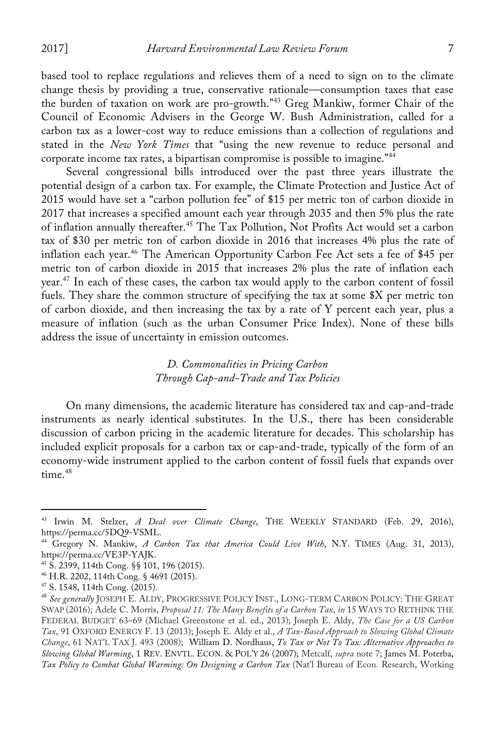based tool to replace regulations and relieves them of a need to sign on to the climate change thesis by providing a true, conservative rationale—consumption taxes that ease the burden of taxation on work are pro-growth."<sup>43</sup> Greg Mankiw, former Chair of the Council of Economic Advisers in the George W. Bush Administration, called for a carbon tax as a lower-cost way to reduce emissions than a collection of regulations and stated in the *New York Times* that "using the new revenue to reduce personal and corporate income tax rates, a bipartisan compromise is possible to imagine."<sup>44</sup>

Several congressional bills introduced over the past three years illustrate the potential design of a carbon tax. For example, the Climate Protection and Justice Act of 2015 would have set a "carbon pollution fee" of \$15 per metric ton of carbon dioxide in 2017 that increases a specified amount each year through 2035 and then 5% plus the rate of inflation annually thereafter.<sup>45</sup> The Tax Pollution, Not Profits Act would set a carbon tax of \$30 per metric ton of carbon dioxide in 2016 that increases 4% plus the rate of inflation each year.<sup>46</sup> The American Opportunity Carbon Fee Act sets a fee of \$45 per metric ton of carbon dioxide in 2015 that increases 2% plus the rate of inflation each year.<sup>47</sup> In each of these cases, the carbon tax would apply to the carbon content of fossil fuels. They share the common structure of specifying the tax at some \$X per metric ton of carbon dioxide, and then increasing the tax by a rate of Y percent each year, plus a measure of inflation (such as the urban Consumer Price Index). None of these bills address the issue of uncertainty in emission outcomes.

# *D. Commonalities in Pricing Carbon Through Cap-and-Trade and Tax Policies*

On many dimensions, the academic literature has considered tax and cap-and-trade instruments as nearly identical substitutes. In the U.S., there has been considerable discussion of carbon pricing in the academic literature for decades. This scholarship has included explicit proposals for a carbon tax or cap-and-trade, typically of the form of an economy-wide instrument applied to the carbon content of fossil fuels that expands over time.<sup>48</sup>

 

<sup>43</sup> Irwin M. Stelzer, *A Deal over Climate Change*, THE WEEKLY STANDARD (Feb. 29, 2016), https://perma.cc/5DQ9-VSML.

<sup>44</sup> Gregory N. Mankiw, *A Carbon Tax that America Could Live With*, N.Y. TIMES (Aug. 31, 2013),

<sup>&</sup>lt;sup>45</sup> S. 2399, 114th Cong. §§ 101, 196 (2015). <sup>46</sup> H.R. 2202, 114th Cong. § 4691 (2015). <sup>47</sup> S. 1548, 114th Cong. (2015).

<sup>&</sup>lt;sup>48</sup> See generally JOSEPH E. ALDY, PROGRESSIVE POLICY INST., LONG-TERM CARBON POLICY: THE GREAT SWAP (2016); Adele C. Morris, *Proposal 11: The Many Benefits of a Carbon Tax*, *in* 15 WAYS TO RETHINK THE FEDERAL BUDGET 63–69 (Michael Greenstone et al. ed., 2013); Joseph E. Aldy, *The Case for a US Carbon Tax*, 91 OXFORD ENERGY F. 13 (2013); Joseph E. Aldy et al., *A Tax-Based Approach to Slowing Global Climate Change*, 61 NAT'L TAX J. 493 (2008); William D. Nordhaus, *To Tax or Not To Tax: Alternative Approaches to Slowing Global Warming*, 1 REV. ENVTL. ECON. & POL'Y 26 (2007); Metcalf, *supra* note 7; James M. Poterba, *Tax Policy to Combat Global Warming: On Designing a Carbon Tax* (Nat'l Bureau of Econ. Research, Working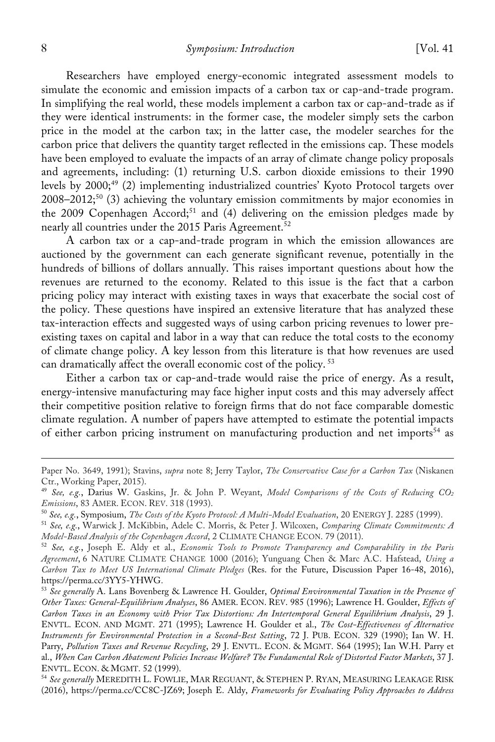Researchers have employed energy-economic integrated assessment models to simulate the economic and emission impacts of a carbon tax or cap-and-trade program. In simplifying the real world, these models implement a carbon tax or cap-and-trade as if they were identical instruments: in the former case, the modeler simply sets the carbon price in the model at the carbon tax; in the latter case, the modeler searches for the carbon price that delivers the quantity target reflected in the emissions cap. These models have been employed to evaluate the impacts of an array of climate change policy proposals and agreements, including: (1) returning U.S. carbon dioxide emissions to their 1990 levels by  $2000$ ;<sup>49</sup> (2) implementing industrialized countries' Kyoto Protocol targets over 2008–2012;<sup>50</sup> (3) achieving the voluntary emission commitments by major economies in the 2009 Copenhagen Accord;<sup>51</sup> and (4) delivering on the emission pledges made by nearly all countries under the 2015 Paris Agreement.<sup>52</sup>

A carbon tax or a cap-and-trade program in which the emission allowances are auctioned by the government can each generate significant revenue, potentially in the hundreds of billions of dollars annually. This raises important questions about how the revenues are returned to the economy. Related to this issue is the fact that a carbon pricing policy may interact with existing taxes in ways that exacerbate the social cost of the policy. These questions have inspired an extensive literature that has analyzed these tax-interaction effects and suggested ways of using carbon pricing revenues to lower preexisting taxes on capital and labor in a way that can reduce the total costs to the economy of climate change policy. A key lesson from this literature is that how revenues are used can dramatically affect the overall economic cost of the policy. <sup>53</sup>

Either a carbon tax or cap-and-trade would raise the price of energy. As a result, energy-intensive manufacturing may face higher input costs and this may adversely affect their competitive position relative to foreign firms that do not face comparable domestic climate regulation. A number of papers have attempted to estimate the potential impacts of either carbon pricing instrument on manufacturing production and net imports<sup>54</sup> as

 Paper No. 3649, 1991); Stavins, *supra* note 8; Jerry Taylor, *The Conservative Case for a Carbon Tax* (Niskanen Ctr., Working Paper, 2015).

<sup>49</sup> *See, e.g.*, Darius W. Gaskins, Jr. & John P. Weyant, *Model Comparisons of the Costs of Reducing CO2 Emissions*, 83 AMER. ECON. REV. 318 (1993).

<sup>&</sup>lt;sup>50</sup> See, e.g., Symposium, The Costs of the Kyoto Protocol: A Multi-Model Evaluation, 20 ENERGY J. 2285 (1999).<br><sup>51</sup> See, e.g., Warwick J. McKibbin, Adele C. Morris, & Peter J. Wilcoxen, Comparing Climate Commitments: A

*Model-Based Analysis of the Copenhagen Accord*, 2 CLIMATE CHANGE ECON. 79 (2011).

<sup>52</sup> *See, e.g.*, Joseph E. Aldy et al., *Economic Tools to Promote Transparency and Comparability in the Paris Agreement*, 6 NATURE CLIMATE CHANGE 1000 (2016); Yunguang Chen & Marc A.C. Hafstead, *Using a Carbon Tax to Meet US International Climate Pledges* (Res. for the Future, Discussion Paper 16-48, 2016),

<sup>&</sup>lt;sup>53</sup> See generally A. Lans Bovenberg & Lawrence H. Goulder, *Optimal Environmental Taxation in the Presence of Other Taxes: General-Equilibrium Analyses*, 86 AMER. ECON. REV. 985 (1996); Lawrence H. Goulder, *Effects of Carbon Taxes in an Economy with Prior Tax Distortions: An Intertemporal General Equilibrium Analysis*, 29 J. ENVTL. ECON. AND MGMT. 271 (1995); Lawrence H. Goulder et al., *The Cost-Effectiveness of Alternative Instruments for Environmental Protection in a Second-Best Setting*, 72 J. PUB. ECON. 329 (1990); Ian W. H. Parry, *Pollution Taxes and Revenue Recycling*, 29 J. ENVTL. ECON. & MGMT. S64 (1995); Ian W.H. Parry et al., *When Can Carbon Abatement Policies Increase Welfare? The Fundamental Role of Distorted Factor Markets*, 37 J. ENVTL. ECON. & MGMT. 52 (1999).

<sup>54</sup> *See generally* MEREDITH L. FOWLIE, MAR REGUANT, & STEPHEN P. RYAN, MEASURING LEAKAGE RISK (2016), https://perma.cc/CC8C-JZ69; Joseph E. Aldy, *Frameworks for Evaluating Policy Approaches to Address*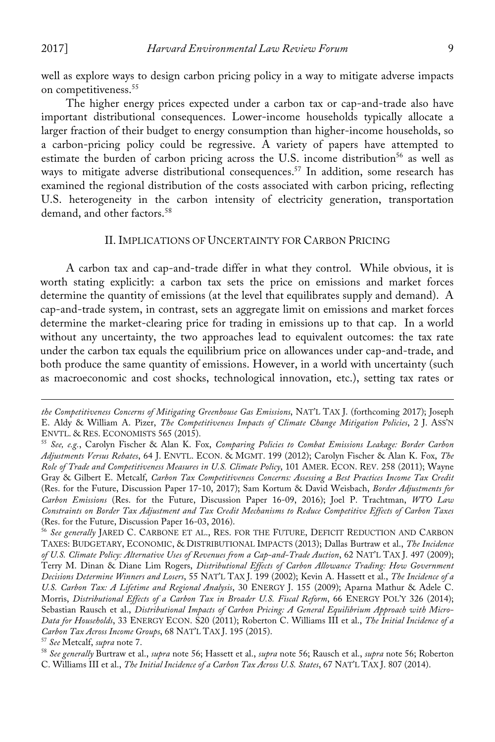well as explore ways to design carbon pricing policy in a way to mitigate adverse impacts on competitiveness.<sup>55</sup>

The higher energy prices expected under a carbon tax or cap-and-trade also have important distributional consequences. Lower-income households typically allocate a larger fraction of their budget to energy consumption than higher-income households, so a carbon-pricing policy could be regressive. A variety of papers have attempted to estimate the burden of carbon pricing across the U.S. income distribution<sup>56</sup> as well as ways to mitigate adverse distributional consequences.<sup>57</sup> In addition, some research has examined the regional distribution of the costs associated with carbon pricing, reflecting U.S. heterogeneity in the carbon intensity of electricity generation, transportation demand, and other factors.<sup>58</sup>

#### II. IMPLICATIONS OF UNCERTAINTY FOR CARBON PRICING

A carbon tax and cap-and-trade differ in what they control. While obvious, it is worth stating explicitly: a carbon tax sets the price on emissions and market forces determine the quantity of emissions (at the level that equilibrates supply and demand). A cap-and-trade system, in contrast, sets an aggregate limit on emissions and market forces determine the market-clearing price for trading in emissions up to that cap. In a world without any uncertainty, the two approaches lead to equivalent outcomes: the tax rate under the carbon tax equals the equilibrium price on allowances under cap-and-trade, and both produce the same quantity of emissions. However, in a world with uncertainty (such as macroeconomic and cost shocks, technological innovation, etc.), setting tax rates or

 

*the Competitiveness Concerns of Mitigating Greenhouse Gas Emissions*, NAT'L TAX J. (forthcoming 2017); Joseph E. Aldy & William A. Pizer, *The Competitiveness Impacts of Climate Change Mitigation Policies*, 2 J. ASS'N

<sup>&</sup>lt;sup>55</sup> See, e.g., Carolyn Fischer & Alan K. Fox, *Comparing Policies to Combat Emissions Leakage: Border Carbon Adjustments Versus Rebates*, 64 J. ENVTL. ECON. & MGMT. 199 (2012); Carolyn Fischer & Alan K. Fox, *The Role of Trade and Competitiveness Measures in U.S. Climate Policy*, 101 AMER. ECON. REV. 258 (2011); Wayne Gray & Gilbert E. Metcalf, *Carbon Tax Competitiveness Concerns: Assessing a Best Practices Income Tax Credit* (Res. for the Future, Discussion Paper 17-10, 2017); Sam Kortum & David Weisbach, *Border Adjustments for Carbon Emissions* (Res. for the Future, Discussion Paper 16-09, 2016); Joel P. Trachtman, *WTO Law Constraints on Border Tax Adjustment and Tax Credit Mechanisms to Reduce Competitive Effects of Carbon Taxes* (Res. for the Future, Discussion Paper 16-03, 2016).

<sup>56</sup> *See generally* JARED C. CARBONE ET AL., RES. FOR THE FUTURE, DEFICIT REDUCTION AND CARBON TAXES: BUDGETARY, ECONOMIC, & DISTRIBUTIONAL IMPACTS (2013); Dallas Burtraw et al., *The Incidence of U.S. Climate Policy: Alternative Uses of Revenues from a Cap-and-Trade Auction*, 62 NAT'L TAX J. 497 (2009); Terry M. Dinan & Diane Lim Rogers, *Distributional Effects of Carbon Allowance Trading: How Government Decisions Determine Winners and Losers*, 55 NAT'L TAX J. 199 (2002); Kevin A. Hassett et al., *The Incidence of a U.S. Carbon Tax: A Lifetime and Regional Analysis*, 30 ENERGY J. 155 (2009); Aparna Mathur & Adele C. Morris, *Distributional Effects of a Carbon Tax in Broader U.S. Fiscal Reform*, 66 ENERGY POL'Y 326 (2014); Sebastian Rausch et al., *Distributional Impacts of Carbon Pricing: A General Equilibrium Approach with Micro-Data for Households*, 33 ENERGY ECON. S20 (2011); Roberton C. Williams III et al., *The Initial Incidence of a* 

<sup>&</sup>lt;sup>57</sup> See Metcalf, s*upra* note 7.<br><sup>58</sup> See generally Burtraw et al., supra note 56; Hassett et al., supra note 56; Rausch et al., supra note 56; Roberton C. Williams III et al., *The Initial Incidence of a Carbon Tax Across U.S. States*, 67 NAT'L TAX J. 807 (2014).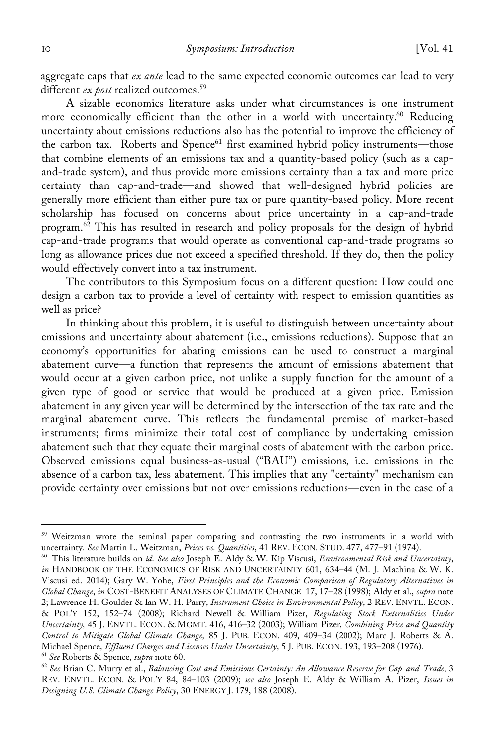aggregate caps that *ex ante* lead to the same expected economic outcomes can lead to very different *ex post* realized outcomes.<sup>59</sup>

A sizable economics literature asks under what circumstances is one instrument more economically efficient than the other in a world with uncertainty.<sup>60</sup> Reducing uncertainty about emissions reductions also has the potential to improve the efficiency of the carbon tax. Roberts and Spence<sup>61</sup> first examined hybrid policy instruments—those that combine elements of an emissions tax and a quantity-based policy (such as a capand-trade system), and thus provide more emissions certainty than a tax and more price certainty than cap-and-trade—and showed that well-designed hybrid policies are generally more efficient than either pure tax or pure quantity-based policy. More recent scholarship has focused on concerns about price uncertainty in a cap-and-trade program.<sup>62</sup> This has resulted in research and policy proposals for the design of hybrid cap-and-trade programs that would operate as conventional cap-and-trade programs so long as allowance prices due not exceed a specified threshold. If they do, then the policy would effectively convert into a tax instrument.

The contributors to this Symposium focus on a different question: How could one design a carbon tax to provide a level of certainty with respect to emission quantities as well as price?

In thinking about this problem, it is useful to distinguish between uncertainty about emissions and uncertainty about abatement (i.e., emissions reductions). Suppose that an economy's opportunities for abating emissions can be used to construct a marginal abatement curve—a function that represents the amount of emissions abatement that would occur at a given carbon price, not unlike a supply function for the amount of a given type of good or service that would be produced at a given price. Emission abatement in any given year will be determined by the intersection of the tax rate and the marginal abatement curve. This reflects the fundamental premise of market-based instruments; firms minimize their total cost of compliance by undertaking emission abatement such that they equate their marginal costs of abatement with the carbon price. Observed emissions equal business-as-usual ("BAU") emissions, i.e. emissions in the absence of a carbon tax, less abatement. This implies that any "certainty" mechanism can provide certainty over emissions but not over emissions reductions—even in the case of a

<sup>&</sup>lt;sup>59</sup> Weitzman wrote the seminal paper comparing and contrasting the two instruments in a world with uncertainty. *See* Martin L. Weitzman, *Prices vs. Quantities*, 41 REV. ECON. STUD. 477, 477–91 (1974).

<sup>60</sup> This literature builds on *id*. *See also* Joseph E. Aldy & W. Kip Viscusi, *Environmental Risk and Uncertainty*, *in* HANDBOOK OF THE ECONOMICS OF RISK AND UNCERTAINTY 601, 634–44 (M. J. Machina & W. K. Viscusi ed. 2014); Gary W. Yohe, *First Principles and the Economic Comparison of Regulatory Alternatives in Global Change*, *in* COST-BENEFIT ANALYSES OF CLIMATE CHANGE 17, 17–28 (1998); Aldy et al., *supra* note 2; Lawrence H. Goulder & Ian W. H. Parry, *Instrument Choice in Environmental Policy*, 2 REV. ENVTL. ECON. & POL'Y 152, 152–74 (2008); Richard Newell & William Pizer, *Regulating Stock Externalities Under Uncertainty,* 45 J. ENVTL. ECON. & MGMT. 416, 416–32 (2003); William Pizer*, Combining Price and Quantity Control to Mitigate Global Climate Change,* 85 J. PUB. ECON. 409, 409–34 (2002); Marc J. Roberts & A. Michael Spence, *Effluent Charges and Licenses Under Uncertainty*, 5 J. PUB. ECON. 193, 193–208 (1976).

<sup>61</sup> *See* Roberts & Spence, *supra* note 60. 62 *See* Brian C. Murry et al., *Balancing Cost and Emissions Certainty: An Allowance Reserve for Cap-and-Trade*, 3 REV. ENVTL. ECON. & POL'Y 84, 84–103 (2009); *see also* Joseph E. Aldy & William A. Pizer, *Issues in Designing U.S. Climate Change Policy*, 30 ENERGY J. 179, 188 (2008).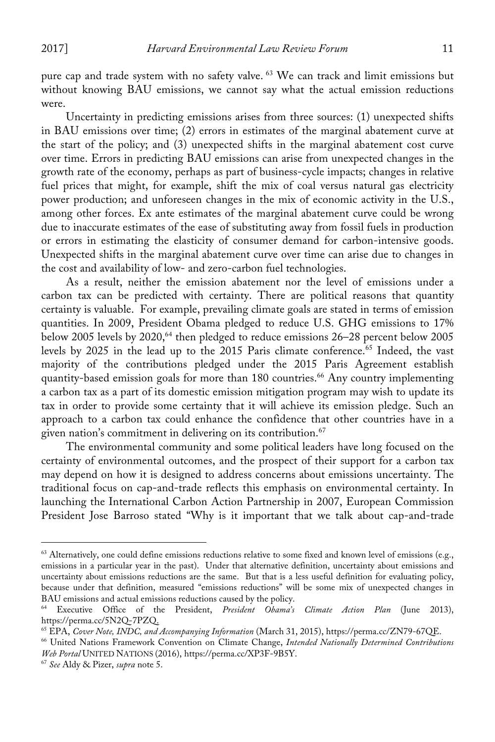pure cap and trade system with no safety valve. <sup>63</sup> We can track and limit emissions but without knowing BAU emissions, we cannot say what the actual emission reductions were.

Uncertainty in predicting emissions arises from three sources: (1) unexpected shifts in BAU emissions over time; (2) errors in estimates of the marginal abatement curve at the start of the policy; and (3) unexpected shifts in the marginal abatement cost curve over time. Errors in predicting BAU emissions can arise from unexpected changes in the growth rate of the economy, perhaps as part of business-cycle impacts; changes in relative fuel prices that might, for example, shift the mix of coal versus natural gas electricity power production; and unforeseen changes in the mix of economic activity in the U.S., among other forces. Ex ante estimates of the marginal abatement curve could be wrong due to inaccurate estimates of the ease of substituting away from fossil fuels in production or errors in estimating the elasticity of consumer demand for carbon-intensive goods. Unexpected shifts in the marginal abatement curve over time can arise due to changes in the cost and availability of low- and zero-carbon fuel technologies.

As a result, neither the emission abatement nor the level of emissions under a carbon tax can be predicted with certainty. There are political reasons that quantity certainty is valuable. For example, prevailing climate goals are stated in terms of emission quantities. In 2009, President Obama pledged to reduce U.S. GHG emissions to 17% below 2005 levels by 2020, <sup>64</sup> then pledged to reduce emissions 26–28 percent below 2005 levels by 2025 in the lead up to the 2015 Paris climate conference.<sup>65</sup> Indeed, the vast majority of the contributions pledged under the 2015 Paris Agreement establish quantity-based emission goals for more than 180 countries.<sup>66</sup> Any country implementing a carbon tax as a part of its domestic emission mitigation program may wish to update its tax in order to provide some certainty that it will achieve its emission pledge. Such an approach to a carbon tax could enhance the confidence that other countries have in a given nation's commitment in delivering on its contribution.<sup>67</sup>

The environmental community and some political leaders have long focused on the certainty of environmental outcomes, and the prospect of their support for a carbon tax may depend on how it is designed to address concerns about emissions uncertainty. The traditional focus on cap-and-trade reflects this emphasis on environmental certainty. In launching the International Carbon Action Partnership in 2007, European Commission President Jose Barroso stated "Why is it important that we talk about cap-and-trade

 $63$  Alternatively, one could define emissions reductions relative to some fixed and known level of emissions (e.g., emissions in a particular year in the past). Under that alternative definition, uncertainty about emissions and uncertainty about emissions reductions are the same. But that is a less useful definition for evaluating policy, because under that definition, measured "emissions reductions" will be some mix of unexpected changes in

Bau Executive Office of the President, *President Obama's Climate Action Plan* (June 2013), https://perma.cc/5N2Q-7PZQ.

<sup>65</sup> EPA, *Cover Note, INDC, and Accompanying Information* (March 31, 2015), https://perma.cc/ZN79-67QE.

<sup>66</sup> United Nations Framework Convention on Climate Change, *Intended Nationally Determined Contributions Web Portal* UNITED NATIONS (2016), https://perma.cc/XP3F-9B5Y. 67 *See* Aldy & Pizer, *supra* note 5.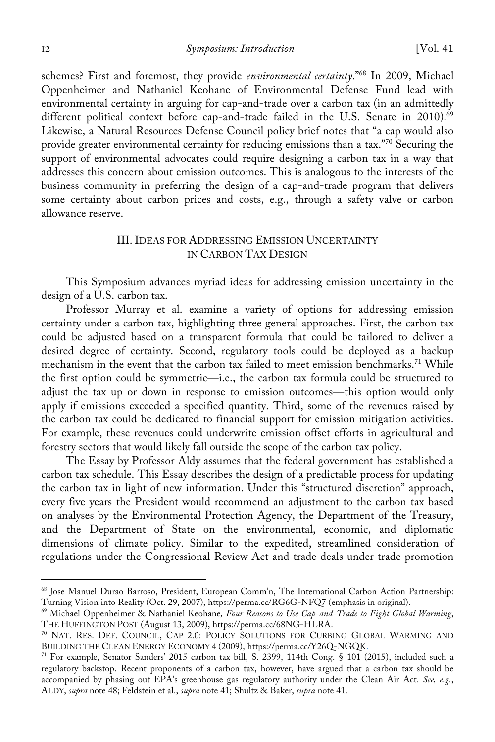12 *Symposium: Introduction* [Vol. 41

schemes? First and foremost, they provide *environmental certainty*."68 In 2009, Michael Oppenheimer and Nathaniel Keohane of Environmental Defense Fund lead with environmental certainty in arguing for cap-and-trade over a carbon tax (in an admittedly different political context before cap-and-trade failed in the U.S. Senate in 2010).<sup>69</sup> Likewise, a Natural Resources Defense Council policy brief notes that "a cap would also provide greater environmental certainty for reducing emissions than a tax."<sup>70</sup> Securing the support of environmental advocates could require designing a carbon tax in a way that addresses this concern about emission outcomes. This is analogous to the interests of the business community in preferring the design of a cap-and-trade program that delivers some certainty about carbon prices and costs, e.g., through a safety valve or carbon allowance reserve.

# III. IDEAS FOR ADDRESSING EMISSION UNCERTAINTY IN CARBON TAX DESIGN

This Symposium advances myriad ideas for addressing emission uncertainty in the design of a U.S. carbon tax.

Professor Murray et al. examine a variety of options for addressing emission certainty under a carbon tax, highlighting three general approaches. First, the carbon tax could be adjusted based on a transparent formula that could be tailored to deliver a desired degree of certainty. Second, regulatory tools could be deployed as a backup mechanism in the event that the carbon tax failed to meet emission benchmarks.<sup>71</sup> While the first option could be symmetric—i.e., the carbon tax formula could be structured to adjust the tax up or down in response to emission outcomes—this option would only apply if emissions exceeded a specified quantity. Third, some of the revenues raised by the carbon tax could be dedicated to financial support for emission mitigation activities. For example, these revenues could underwrite emission offset efforts in agricultural and forestry sectors that would likely fall outside the scope of the carbon tax policy.

The Essay by Professor Aldy assumes that the federal government has established a carbon tax schedule. This Essay describes the design of a predictable process for updating the carbon tax in light of new information. Under this "structured discretion" approach, every five years the President would recommend an adjustment to the carbon tax based on analyses by the Environmental Protection Agency, the Department of the Treasury, and the Department of State on the environmental, economic, and diplomatic dimensions of climate policy. Similar to the expedited, streamlined consideration of regulations under the Congressional Review Act and trade deals under trade promotion

<sup>68</sup> Jose Manuel Durao Barroso, President, European Comm'n, The International Carbon Action Partnership: Turning Vision into Reality (Oct. 29, 2007), https://perma.cc/RG6G-NFQ7 (emphasis in original).

<sup>69</sup> Michael Oppenheimer & Nathaniel Keohane*, Four Reasons to Use Cap-and-Trade to Fight Global Warming*, THE HUFFINGTON POST (August 13, 2009), https://perma.cc/68NG-HLRA.

<sup>70</sup> NAT. RES. DEF. COUNCIL, CAP 2.0: POLICY SOLUTIONS FOR CURBING GLOBAL WARMING AND BUILDING THE CLEAN ENERGY ECONOMY 4 (2009), https://perma.cc/Y26Q-NGQK.

<sup>71</sup> For example, Senator Sanders' 2015 carbon tax bill, S. 2399, 114th Cong. § 101 (2015), included such a regulatory backstop. Recent proponents of a carbon tax, however, have argued that a carbon tax should be accompanied by phasing out EPA's greenhouse gas regulatory authority under the Clean Air Act. *See, e.g.*, ALDY, *supra* note 48; Feldstein et al., *supra* note 41; Shultz & Baker, *supra* note 41.